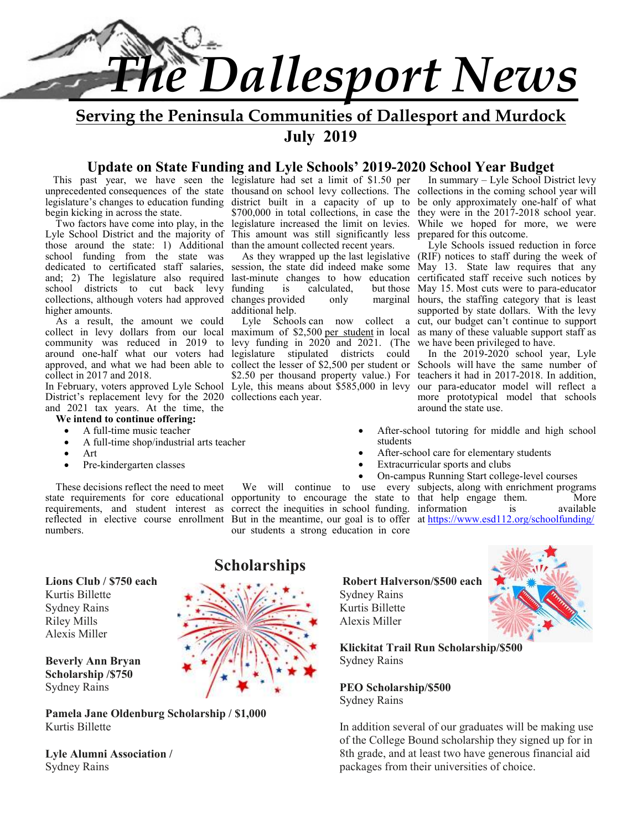

**Serving the Peninsula Communities of Dallesport and Murdock July 2019** 

## **Update on State Funding and Lyle Schools' 2019-2020 School Year Budget**

legislature's changes to education funding begin kicking in across the state.

 Two factors have come into play, in the legislature increased the limit on levies. Lyle School District and the majority of those around the state: 1) Additional school funding from the state was dedicated to certificated staff salaries, and; 2) The legislature also required school districts to cut back levy collections, although voters had approved higher amounts.

 As a result, the amount we could collect in levy dollars from our local community was reduced in 2019 to around one-half what our voters had approved, and what we had been able to collect in 2017 and 2018.

In February, voters approved Lyle School District's replacement levy for the 2020 and 2021 tax years. At the time, the

- **We intend to continue offering:** • A full-time music teacher
	- A full-time shop/industrial arts teacher
	- Art
	- Pre-kindergarten classes

 These decisions reflect the need to meet requirements, and student interest as numbers.

**Lions Club / \$750 each** 

Kurtis Billette Sydney Rains Riley Mills Alexis Miller

#### **Beverly Ann Bryan Scholarship /\$750** Sydney Rains

**Pamela Jane Oldenburg Scholarship / \$1,000** Kurtis Billette

**Lyle Alumni Association /**  Sydney Rains

 This past year, we have seen the legislature had set a limit of \$1.50 per \$700,000 in total collections, in case the This amount was still significantly less prepared for this outcome. than the amount collected recent years.

funding is calculated, but those<br>changes provided only marginal changes provided additional help.

 Lyle Schools can now collect a maximum of \$2,500 per student in local levy funding in 2020 and 2021. (The legislature stipulated districts could collect the lesser of \$2,500 per student or \$2.50 per thousand property value.) For Lyle, this means about \$585,000 in levy collections each year.

unprecedented consequences of the state thousand on school levy collections. The collections in the coming school year will district built in a capacity of up to be only approximately one-half of what In summary – Lyle School District levy they were in the 2017-2018 school year. While we hoped for more, we were

 As they wrapped up the last legislative (RIF) notices to staff during the week of session, the state did indeed make some May 13. State law requires that any last-minute changes to how education certificated staff receive such notices by Lyle Schools issued reduction in force but those May 15. Most cuts were to para-educator hours, the staffing category that is least supported by state dollars. With the levy cut, our budget can't continue to support as many of these valuable support staff as we have been privileged to have.

 In the 2019-2020 school year, Lyle Schools will have the same number of teachers it had in 2017-2018. In addition, our para-educator model will reflect a more prototypical model that schools around the state use.

- After-school tutoring for middle and high school students
- After-school care for elementary students
- Extracurricular sports and clubs
- On-campus Running Start college-level courses

state requirements for core educational opportunity to encourage the state to that help engage them. More reflected in elective course enrollment But in the meantime, our goal is to offer at https://www.esd112.org/schoolfunding/ We will continue to use every subjects, along with enrichment programs correct the inequities in school funding. information is available our students a strong education in core

> **Robert Halverson/\$500 each** Sydney Rains Kurtis Billette

Alexis Miller



**Klickitat Trail Run Scholarship/\$500** Sydney Rains

**PEO Scholarship/\$500** Sydney Rains

In addition several of our graduates will be making use of the College Bound scholarship they signed up for in 8th grade, and at least two have generous financial aid packages from their universities of choice.

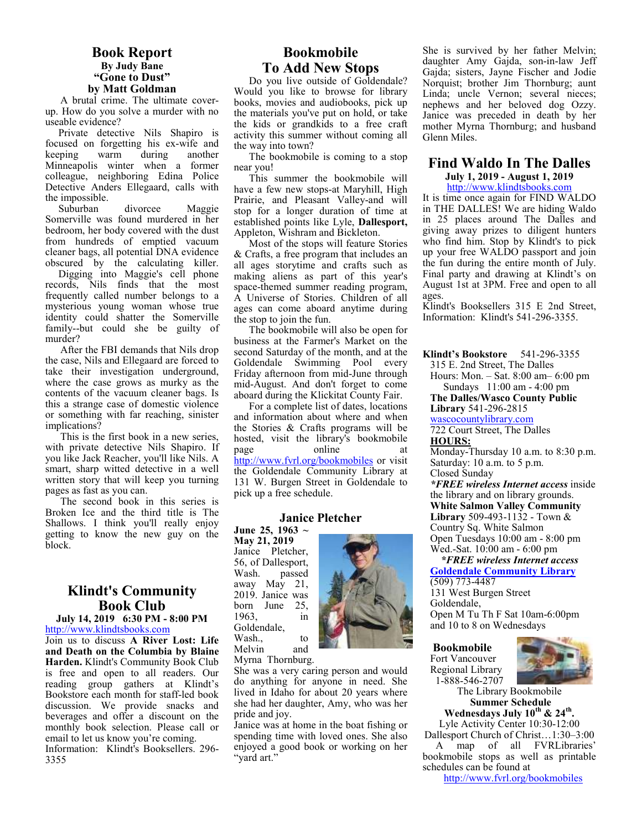#### **Book Report By Judy Bane "Gone to Dust" by Matt Goldman**

A brutal crime. The ultimate coverup. How do you solve a murder with no useable evidence?

 Private detective Nils Shapiro is focused on forgetting his ex-wife and keeping Minneapolis winter when a former colleague, neighboring Edina Police Detective Anders Ellegaard, calls with the impossible.

 Suburban divorcee Maggie Somerville was found murdered in her bedroom, her body covered with the dust from hundreds of emptied vacuum cleaner bags, all potential DNA evidence obscured by the calculating killer.

 Digging into Maggie's cell phone records, Nils finds that the most frequently called number belongs to a mysterious young woman whose true identity could shatter the Somerville family--but could she be guilty of murder?

After the FBI demands that Nils drop the case, Nils and Ellegaard are forced to take their investigation underground, where the case grows as murky as the contents of the vacuum cleaner bags. Is this a strange case of domestic violence or something with far reaching, sinister implications?

This is the first book in a new series, with private detective Nils Shapiro. If you like Jack Reacher, you'll like Nils. A smart, sharp witted detective in a well written story that will keep you turning pages as fast as you can.

The second book in this series is Broken Ice and the third title is The Shallows. I think you'll really enjoy getting to know the new guy on the block.

## **Klindt's Community Book Club**

**July 14, 2019 6:30 PM - 8:00 PM**  http://www.klindtsbooks.com

Join us to discuss **A River Lost: Life and Death on the Columbia by Blaine Harden.** Klindt's Community Book Club is free and open to all readers. Our reading group gathers at Klindt's Bookstore each month for staff-led book discussion. We provide snacks and beverages and offer a discount on the monthly book selection. Please call or email to let us know you're coming.

Information: Klindt's Booksellers. 296- 3355

## **Bookmobile To Add New Stops**

Do you live outside of Goldendale? Would you like to browse for library books, movies and audiobooks, pick up the materials you've put on hold, or take the kids or grandkids to a free craft activity this summer without coming all the way into town?

The bookmobile is coming to a stop near you!

This summer the bookmobile will have a few new stops-at Maryhill, High Prairie, and Pleasant Valley-and will stop for a longer duration of time at established points like Lyle, **Dallesport,** Appleton, Wishram and Bickleton.

Most of the stops will feature Stories & Crafts, a free program that includes an all ages storytime and crafts such as making aliens as part of this year's space-themed summer reading program, A Universe of Stories. Children of all ages can come aboard anytime during the stop to join the fun.

The bookmobile will also be open for business at the Farmer's Market on the second Saturday of the month, and at the Goldendale Swimming Pool every Friday afternoon from mid-June through mid-August. And don't forget to come aboard during the Klickitat County Fair.

For a complete list of dates, locations and information about where and when the Stories & Crafts programs will be hosted, visit the library's bookmobile online at http://www.fvrl.org/bookmobiles or visit the Goldendale Community Library at 131 W. Burgen Street in Goldendale to pick up a free schedule.

#### **Janice Pletcher**

**June 25, 1963 ~ May 21, 2019**  Janice Pletcher, 56, of Dallesport, Wash. passed away May 21, 2019. Janice was<br>born June 25, born June 1963, in Goldendale, Wash., to Melvin and Myrna Thornburg.



She was a very caring person and would do anything for anyone in need. She lived in Idaho for about 20 years where she had her daughter, Amy, who was her pride and joy.

Janice was at home in the boat fishing or spending time with loved ones. She also enjoyed a good book or working on her "yard art."

She is survived by her father Melvin; daughter Amy Gajda, son-in-law Jeff Gajda; sisters, Jayne Fischer and Jodie Norquist; brother Jim Thornburg; aunt Linda; uncle Vernon; several nieces; nephews and her beloved dog Ozzy. Janice was preceded in death by her mother Myrna Thornburg; and husband Glenn Miles.

## **Find Waldo In The Dalles**

**July 1, 2019 - August 1, 2019**  http://www.klindtsbooks.com

It is time once again for FIND WALDO in THE DALLES! We are hiding Waldo in 25 places around The Dalles and giving away prizes to diligent hunters who find him. Stop by Klindt's to pick up your free WALDO passport and join the fun during the entire month of July. Final party and drawing at Klindt's on August 1st at 3PM. Free and open to all ages.

Klindt's Booksellers 315 E 2nd Street, Information: Klindt's 541-296-3355.

**Klindt's Bookstore** 541-296-3355 315 E. 2nd Street, The Dalles

Hours: Mon. – Sat. 8:00 am– 6:00 pm Sundays 11:00 am - 4:00 pm

**The Dalles/Wasco County Public Library** 541-296-2815

wascocountylibrary.com 722 Court Street, The Dalles

## **HOURS:**

Monday-Thursday 10 a.m. to 8:30 p.m. Saturday: 10 a.m. to 5 p.m. Closed Sunday

*\*FREE wireless Internet access* inside the library and on library grounds. **White Salmon Valley Community Library** 509-493-1132 - Town & Country Sq. White Salmon Open Tuesdays 10:00 am - 8:00 pm Wed.-Sat. 10:00 am - 6:00 pm

 *\*FREE wireless Internet access*  **Goldendale Community Library** 

(509) 773-4487 131 West Burgen Street Goldendale, Open M Tu Th F Sat 10am-6:00pm and 10 to 8 on Wednesdays

**Bookmobile** 

Fort Vancouver Regional Library 1-888-546-2707



The Library Bookmobile **Summer Schedule** 

**Wednesdays July 10th & 24th .**  Lyle Activity Center 10:30-12:00 Dallesport Church of Christ…1:30–3:00

 A map of all FVRLibraries' bookmobile stops as well as printable schedules can be found at

http://www.fvrl.org/bookmobiles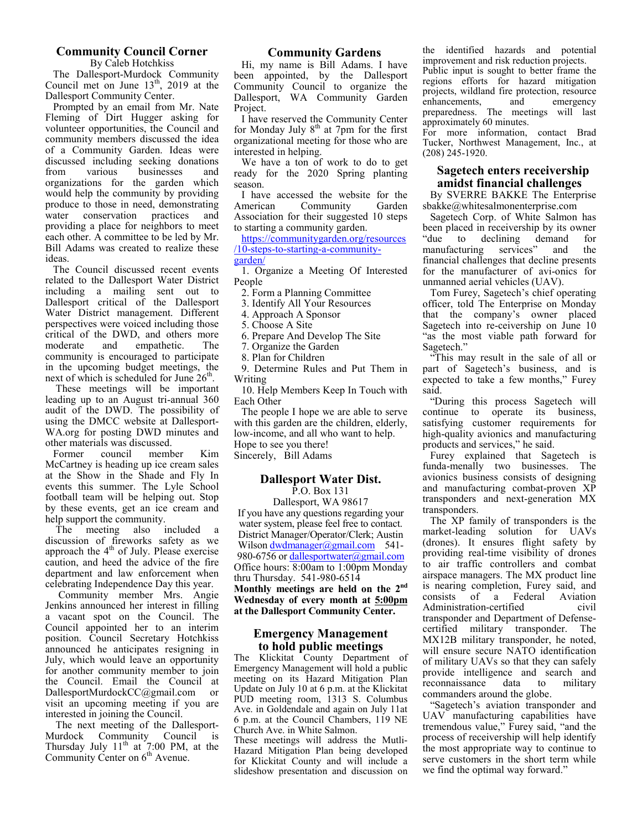#### **Community Council Corner**

By Caleb Hotchkiss The Dallesport-Murdock Community Council met on June  $13<sup>th</sup>$ , 2019 at the

Dallesport Community Center. Prompted by an email from Mr. Nate Fleming of Dirt Hugger asking for volunteer opportunities, the Council and community members discussed the idea of a Community Garden. Ideas were discussed including seeking donations<br>from various businesses and businesses organizations for the garden which would help the community by providing produce to those in need, demonstrating water conservation practices and providing a place for neighbors to meet each other. A committee to be led by Mr. Bill Adams was created to realize these ideas.

 The Council discussed recent events related to the Dallesport Water District including a mailing sent out to Dallesport critical of the Dallesport Water District management. Different perspectives were voiced including those critical of the DWD, and others more<br>moderate and empathetic. The empathetic. The community is encouraged to participate in the upcoming budget meetings, the next of which is scheduled for June  $26<sup>th</sup>$ .

 These meetings will be important leading up to an August tri-annual 360 audit of the DWD. The possibility of using the DMCC website at Dallesport-WA.org for posting DWD minutes and other materials was discussed.

member Kim McCartney is heading up ice cream sales at the Show in the Shade and Fly In events this summer. The Lyle School football team will be helping out. Stop by these events, get an ice cream and help support the community.

 The meeting also included a discussion of fireworks safety as we approach the 4<sup>th</sup> of July. Please exercise caution, and heed the advice of the fire department and law enforcement when celebrating Independence Day this year.

 Community member Mrs. Angie Jenkins announced her interest in filling a vacant spot on the Council. The Council appointed her to an interim position. Council Secretary Hotchkiss announced he anticipates resigning in July, which would leave an opportunity for another community member to join the Council. Email the Council at DallesportMurdockCC@gmail.com or visit an upcoming meeting if you are interested in joining the Council.

 The next meeting of the Dallesport-Murdock Community Council is Thursday July  $11<sup>th</sup>$  at 7:00 PM, at the Community Center on  $6<sup>th</sup>$  Avenue.

#### **Community Gardens**

Hi, my name is Bill Adams. I have been appointed, by the Dallesport Community Council to organize the Dallesport, WA Community Garden Project.

I have reserved the Community Center for Monday July  $8<sup>th</sup>$  at 7pm for the first organizational meeting for those who are interested in helping.

We have a ton of work to do to get ready for the 2020 Spring planting season.

I have accessed the website for the<br>American Community Garden Community Association for their suggested 10 steps to starting a community garden.

https://communitygarden.org/resources /10-steps-to-starting-a-communitygarden/

1. Organize a Meeting Of Interested People

2. Form a Planning Committee

3. Identify All Your Resources

4. Approach A Sponsor

5. Choose A Site

6. Prepare And Develop The Site

7. Organize the Garden

8. Plan for Children

9. Determine Rules and Put Them in Writing

10. Help Members Keep In Touch with Each Other

The people I hope we are able to serve with this garden are the children, elderly, low-income, and all who want to help. Hope to see you there! Sincerely, Bill Adams

#### **Dallesport Water Dist.**

P.O. Box 131

Dallesport, WA 98617 If you have any questions regarding your water system, please feel free to contact. District Manager/Operator/Clerk; Austin Wilson dwdmanager@gmail.com 541-980-6756 or dallesportwater@gmail.com Office hours: 8:00am to 1:00pm Monday thru Thursday. 541-980-6514 **Monthly meetings are held on the 2nd**

**Wednesday of every month at 5:00pm at the Dallesport Community Center.** 

#### **Emergency Management to hold public meetings**

The Klickitat County Department of Emergency Management will hold a public meeting on its Hazard Mitigation Plan Update on July 10 at 6 p.m. at the Klickitat PUD meeting room, 1313 S. Columbus Ave. in Goldendale and again on July 11at 6 p.m. at the Council Chambers, 119 NE Church Ave. in White Salmon.

These meetings will address the Mutli-Hazard Mitigation Plan being developed for Klickitat County and will include a slideshow presentation and discussion on the identified hazards and potential improvement and risk reduction projects. Public input is sought to better frame the regions efforts for hazard mitigation projects, wildland fire protection, resource<br>enhancements. and emergency enhancements, preparedness. The meetings will last approximately 60 minutes.

For more information, contact Brad Tucker, Northwest Management, Inc., at (208) 245-1920.

## **Sagetech enters receivership amidst financial challenges**

By SVERRE BAKKE The Enterprise sbakke@whitesalmonenterprise.com

Sagetech Corp. of White Salmon has been placed in receivership by its owner<br>"due to declining demand for declining manufacturing services" and the financial challenges that decline presents for the manufacturer of avi-onics for unmanned aerial vehicles (UAV).

Tom Furey, Sagetech's chief operating officer, told The Enterprise on Monday that the company's owner placed Sagetech into re-ceivership on June 10 "as the most viable path forward for Sagetech."

"This may result in the sale of all or part of Sagetech's business, and is expected to take a few months," Furey said.

"During this process Sagetech will continue to operate its business, satisfying customer requirements for high-quality avionics and manufacturing products and services," he said.

Furey explained that Sagetech is funda-menally two businesses. The avionics business consists of designing and manufacturing combat-proven XP transponders and next-generation MX transponders.

The XP family of transponders is the market-leading solution for UAVs (drones). It ensures flight safety by providing real-time visibility of drones to air traffic controllers and combat airspace managers. The MX product line is nearing completion, Furey said, and consists of a Federal Aviation Administration-certified civil transponder and Department of Defensecertified military transponder. The MX12B military transponder, he noted, will ensure secure NATO identification of military UAVs so that they can safely provide intelligence and search and reconnaissance data to military commanders around the globe.

Sagetech's aviation transponder and UAV manufacturing capabilities have tremendous value," Furey said, "and the process of receivership will help identify the most appropriate way to continue to serve customers in the short term while we find the optimal way forward."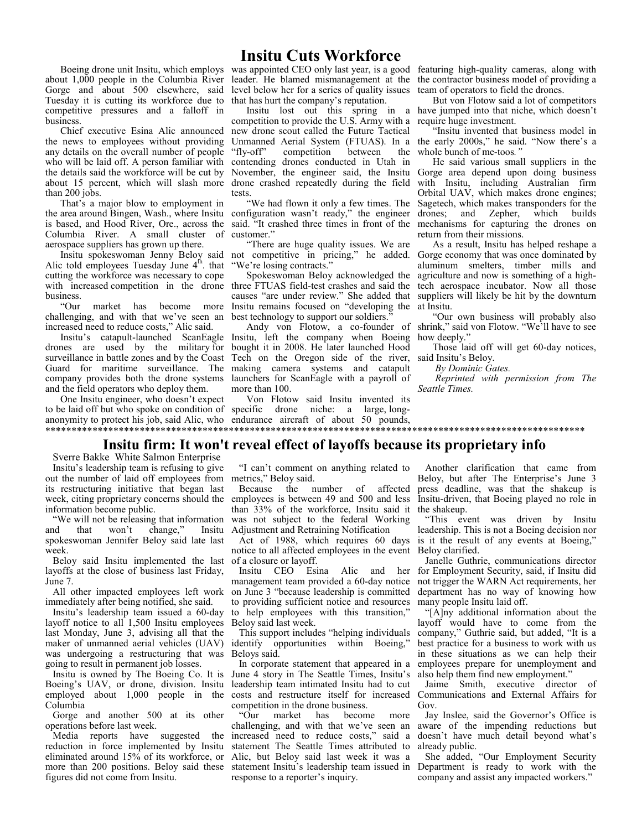## **Insitu Cuts Workforce**

Boeing drone unit Insitu, which employs about 1,000 people in the Columbia River Gorge and about 500 elsewhere, said Tuesday it is cutting its workforce due to competitive pressures and a falloff in business.

Chief executive Esina Alic announced the news to employees without providing any details on the overall number of people who will be laid off. A person familiar with the details said the workforce will be cut by about 15 percent, which will slash more drone crashed repeatedly during the field than 200 jobs.

That's a major blow to employment in the area around Bingen, Wash., where Insitu configuration wasn't ready," the engineer is based, and Hood River, Ore., across the said. "It crashed three times in front of the Columbia River. A small cluster of aerospace suppliers has grown up there.

Insitu spokeswoman Jenny Beloy said<br>Alic told employees Tuesday June 4<sup>th</sup>. that cutting the workforce was necessary to cope with increased competition in the drone business.

"Our market has become more challenging, and with that we've seen an best technology to support our soldiers." increased need to reduce costs," Alic said.

Insitu's catapult-launched ScanEagle drones are used by the military for surveillance in battle zones and by the Coast Guard for maritime surveillance. The company provides both the drone systems and the field operators who deploy them.

One Insitu engineer, who doesn't expect to be laid off but who spoke on condition of anonymity to protect his job, said Alic, who endurance aircraft of about 50 pounds, \*\*\*\*\*\*\*\*\*\*\*\*\*\*\*\*\*\*\*\*\*\*\*\*\*\*\*\*\*\*\*\*\*\*\*\*\*\*\*\*\*\*\*\*\*\*\*\*\*\*\*\*\*\*\*\*\*\*\*\*\*\*\*\*\*\*\*\*\*\*\*\*\*\*\*\*\*\*\*\*\*\*\*\*\*\*\*\*\*\*\*\*\*\*\*\*\*\*\*\*\*\*\*

level below her for a series of quality issues team of operators to field the drones. that has hurt the company's reputation.

Insitu lost out this spring in a competition to provide the U.S. Army with a new drone scout called the Future Tactical Unmanned Aerial System (FTUAS). In a<br>"fly-off" competition between the competition contending drones conducted in Utah in November, the engineer said, the Insitu tests.

"We had flown it only a few times. The customer."

"There are huge quality issues. We are not competitive in pricing," he added. "We're losing contracts."

Spokeswoman Beloy acknowledged the three FTUAS field-test crashes and said the causes "are under review." She added that Insitu remains focused on "developing the

Insitu, left the company when Boeing bought it in 2008. He later launched Hood Tech on the Oregon side of the river, making camera systems and catapult launchers for ScanEagle with a payroll of more than 100.

Von Flotow said Insitu invented its specific drone niche: a large, long-

was appointed CEO only last year, is a good featuring high-quality cameras, along with leader. He blamed mismanagement at the the contractor business model of providing a

But von Flotow said a lot of competitors have jumped into that niche, which doesn't require huge investment.

"Insitu invented that business model in the early 2000s," he said. "Now there's a whole bunch of me-toos*."* 

He said various small suppliers in the Gorge area depend upon doing business with Insitu, including Australian firm Orbital UAV, which makes drone engines; Sagetech, which makes transponders for the drones; and Zepher, which builds mechanisms for capturing the drones on return from their missions.

As a result, Insitu has helped reshape a Gorge economy that was once dominated by aluminum smelters, timber mills and agriculture and now is something of a hightech aerospace incubator. Now all those suppliers will likely be hit by the downturn at Insitu.

Andy von Flotow, a co-founder of shrink," said von Flotow. "We'll have to see "Our own business will probably also how deeply.'

Those laid off will get 60-day notices, said Insitu's Beloy.

*By Dominic Gates.* 

 *Reprinted with permission from The Seattle Times.* 

## **Insitu firm: It won't reveal effect of layoffs because its proprietary info**

Sverre Bakke White Salmon Enterprise

Insitu's leadership team is refusing to give out the number of laid off employees from metrics," Beloy said. its restructuring initiative that began last week, citing proprietary concerns should the information become public.

"We will not be releasing that information<br>nd that won't change," Insitu and that won't change," spokeswoman Jennifer Beloy said late last week.

Beloy said Insitu implemented the last of a closure or layoff. layoffs at the close of business last Friday, June 7.

All other impacted employees left work immediately after being notified, she said.

Insitu's leadership team issued a 60-day layoff notice to all 1,500 Insitu employees last Monday, June 3, advising all that the maker of unmanned aerial vehicles (UAV) was undergoing a restructuring that was going to result in permanent job losses.

Insitu is owned by The Boeing Co. It is Boeing's UAV, or drone, division. Insitu employed about 1,000 people in the Columbia

Gorge and another 500 at its other operations before last week.

Media reports have suggested the reduction in force implemented by Insitu eliminated around 15% of its workforce, or more than 200 positions. Beloy said these figures did not come from Insitu.

"I can't comment on anything related to

Because the number of affected employees is between 49 and 500 and less than 33% of the workforce, Insitu said it was not subject to the federal Working Adjustment and Retraining Notification

Act of 1988, which requires 60 days notice to all affected employees in the event

Insitu CEO Esina Alic and her management team provided a 60-day notice on June 3 "because leadership is committed to providing sufficient notice and resources to help employees with this transition," Beloy said last week.

This support includes "helping individuals identify opportunities within Boeing," Beloys said.

In corporate statement that appeared in a June 4 story in The Seattle Times, Insitu's leadership team intimated Insitu had to cut costs and restructure itself for increased

competition in the drone business.<br>
"Our market has become market has become more challenging, and with that we've seen an increased need to reduce costs," said a statement The Seattle Times attributed to Alic, but Beloy said last week it was a statement Insitu's leadership team issued in response to a reporter's inquiry.

Another clarification that came from Beloy, but after The Enterprise's June 3 press deadline, was that the shakeup is Insitu-driven, that Boeing played no role in the shakeup.

"This event was driven by Insitu leadership. This is not a Boeing decision nor is it the result of any events at Boeing," Beloy clarified.

Janelle Guthrie, communications director for Employment Security, said, if Insitu did not trigger the WARN Act requirements, her department has no way of knowing how many people Insitu laid off.

"[A]ny additional information about the layoff would have to come from the company," Guthrie said, but added, "It is a best practice for a business to work with us in these situations as we can help their employees prepare for unemployment and also help them find new employment."

Jaime Smith, executive director of Communications and External Affairs for Gov.

Jay Inslee, said the Governor's Office is aware of the impending reductions but doesn't have much detail beyond what's already public.

She added, "Our Employment Security Department is ready to work with the company and assist any impacted workers."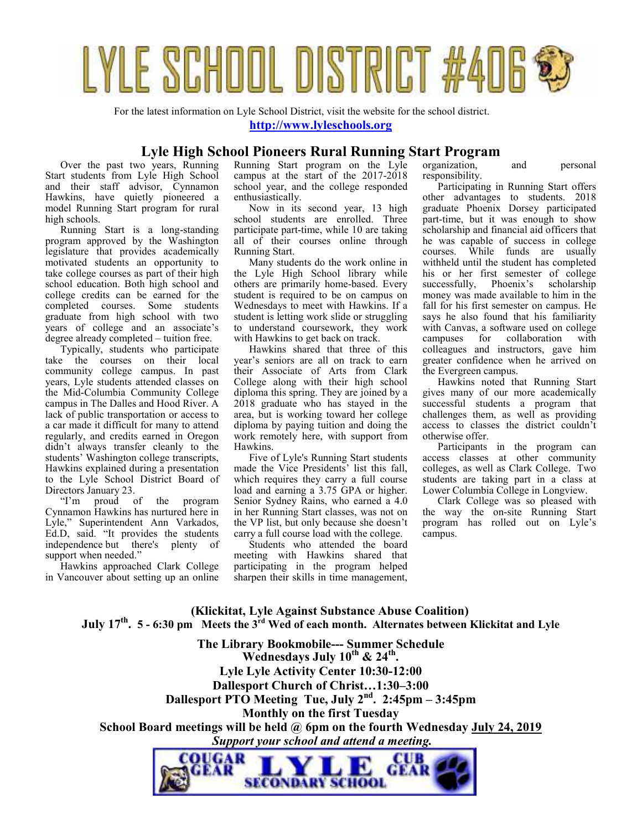

For the latest information on Lyle School District, visit the website for the school district.

**http://www.lyleschools.org**

## **Lyle High School Pioneers Rural Running Start Program**

Over the past two years, Running Start students from Lyle High School and their staff advisor, Cynnamon Hawkins, have quietly pioneered a model Running Start program for rural high schools.

Running Start is a long-standing program approved by the Washington legislature that provides academically motivated students an opportunity to take college courses as part of their high school education. Both high school and college credits can be earned for the completed courses. Some students graduate from high school with two years of college and an associate's degree already completed – tuition free.

Typically, students who participate take the courses on their local community college campus. In past years, Lyle students attended classes on the Mid-Columbia Community College campus in The Dalles and Hood River. A lack of public transportation or access to a car made it difficult for many to attend regularly, and credits earned in Oregon didn't always transfer cleanly to the students' Washington college transcripts, Hawkins explained during a presentation to the Lyle School District Board of Directors January 23.

"I'm proud of the program Cynnamon Hawkins has nurtured here in Lyle," Superintendent Ann Varkados, Ed.D, said. "It provides the students independence but there's plenty of support when needed."

Hawkins approached Clark College in Vancouver about setting up an online Running Start program on the Lyle campus at the start of the 2017-2018 school year, and the college responded enthusiastically.

Now in its second year, 13 high school students are enrolled. Three participate part-time, while 10 are taking all of their courses online through Running Start.

Many students do the work online in the Lyle High School library while others are primarily home-based. Every student is required to be on campus on Wednesdays to meet with Hawkins. If a student is letting work slide or struggling to understand coursework, they work with Hawkins to get back on track.

Hawkins shared that three of this year's seniors are all on track to earn their Associate of Arts from Clark College along with their high school diploma this spring. They are joined by a 2018 graduate who has stayed in the area, but is working toward her college diploma by paying tuition and doing the work remotely here, with support from Hawkins.

Five of Lyle's Running Start students made the Vice Presidents' list this fall, which requires they carry a full course load and earning a 3.75 GPA or higher. Senior Sydney Rains, who earned a 4.0 in her Running Start classes, was not on the VP list, but only because she doesn't carry a full course load with the college.

Students who attended the board meeting with Hawkins shared that participating in the program helped sharpen their skills in time management, organization, and personal responsibility.

Participating in Running Start offers other advantages to students. 2018 graduate Phoenix Dorsey participated part-time, but it was enough to show scholarship and financial aid officers that he was capable of success in college courses. While funds are usually withheld until the student has completed his or her first semester of college successfully, Phoenix's scholarship money was made available to him in the fall for his first semester on campus. He says he also found that his familiarity with Canvas, a software used on college<br>campuses for collaboration with for collaboration colleagues and instructors, gave him greater confidence when he arrived on the Evergreen campus.

Hawkins noted that Running Start gives many of our more academically successful students a program that challenges them, as well as providing access to classes the district couldn't otherwise offer.

Participants in the program can access classes at other community colleges, as well as Clark College. Two students are taking part in a class at Lower Columbia College in Longview.

Clark College was so pleased with the way the on-site Running Start program has rolled out on Lyle's campus.

 **(Klickitat, Lyle Against Substance Abuse Coalition) July 17th . 5 - 6:30 pm Meets the 3rd Wed of each month. Alternates between Klickitat and Lyle**

**The Library Bookmobile--- Summer Schedule Wednesdays July 10th & 24th . Lyle Lyle Activity Center 10:30-12:00 Dallesport Church of Christ…1:30–3:00 Dallesport PTO Meeting Tue, July 2nd. 2:45pm – 3:45pm Monthly on the first Tuesday School Board meetings will be held @ 6pm on the fourth Wednesday July 24, 2019**  *Support your school and attend a meeting.*  COUGAR CUB GEAR

SECONDARY SCHOOL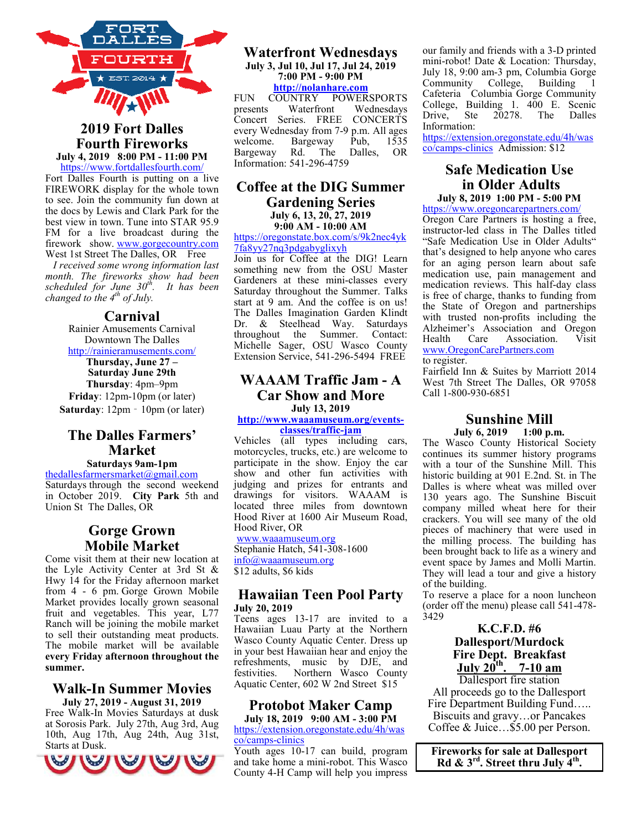

**2019 Fort Dalles Fourth Fireworks July 4, 2019 8:00 PM - 11:00 PM** 

https://www.fortdallesfourth.com/ Fort Dalles Fourth is putting on a live FIREWORK display for the whole town to see. Join the community fun down at the docs by Lewis and Clark Park for the best view in town. Tune into STAR 95.9 FM for a live broadcast during the firework show. www.gorgecountry.com West 1st Street The Dalles, OR Free

 *I received some wrong information last month. The fireworks show had been scheduled for June 30th. It has been changed to the 4th of July.* 

#### **Carnival**

Rainier Amusements Carnival Downtown The Dalles http://rainieramusements.com/

**Thursday, June 27 – Saturday June 29th Thursday**: 4pm–9pm **Friday**: 12pm-10pm (or later) **Saturday**: 12pm - 10pm (or later)

## **The Dalles Farmers' Market**

**Saturdays 9am-1pm**  thedallesfarmersmarket@gmail.com Saturdays through the second weekend in October 2019. **City Park** 5th and Union St The Dalles, OR

## **Gorge Grown Mobile Market**

Come visit them at their new location at the Lyle Activity Center at 3rd St & Hwy 14 for the Friday afternoon market from 4 - 6 pm. Gorge Grown Mobile Market provides locally grown seasonal fruit and vegetables. This year, L77 Ranch will be joining the mobile market to sell their outstanding meat products. The mobile market will be available **every Friday afternoon throughout the summer.** 

#### **Walk-In Summer Movies July 27, 2019 - August 31, 2019**

Free Walk-In Movies Saturdays at dusk at Sorosis Park. July 27th, Aug 3rd, Aug 10th, Aug 17th, Aug 24th, Aug 31st, Starts at Dusk.



#### **Waterfront Wednesdays July 3, Jul 10, Jul 17, Jul 24, 2019 7:00 PM - 9:00 PM http://nolanhare.com**

FUN COUNTRY POWERSPORTS<br>presents Waterfront Wednesdays presents Waterfront Wednesdays<br>Concert Series. FREE CONCERTS Series. FREE every Wednesday from 7-9 p.m. All ages welcome. Bargeway Pub, 1535<br>Bargeway Rd. The Dalles. OR Bargeway Rd. The Dalles, OR Information: 541-296-4759

## **Coffee at the DIG Summer Gardening Series July 6, 13, 20, 27, 2019**

**9:00 AM - 10:00 AM** 

https://oregonstate.box.com/s/9k2nec4yk 7fa8yy27nq3pdgabyglixyh

Join us for Coffee at the DIG! Learn something new from the OSU Master Gardeners at these mini-classes every Saturday throughout the Summer. Talks start at 9 am. And the coffee is on us! The Dalles Imagination Garden Klindt Dr. & Steelhead Way. Saturdays throughout the Summer. Contact: Summer. Contact: Michelle Sager, OSU Wasco County Extension Service, 541-296-5494 FREE

## **WAAAM Traffic Jam - A Car Show and More July 13, 2019**

**http://www.waaamuseum.org/eventsclasses/traffic-jam**

Vehicles (all types including cars, motorcycles, trucks, etc.) are welcome to participate in the show. Enjoy the car show and other fun activities with judging and prizes for entrants and drawings for visitors. WAAAM is located three miles from downtown Hood River at 1600 Air Museum Road, Hood River, OR www.waaamuseum.org Stephanie Hatch, 541-308-1600

info@waaamuseum.org \$12 adults, \$6 kids

## **Hawaiian Teen Pool Party July 20, 2019**

Teens ages 13-17 are invited to a Hawaiian Luau Party at the Northern Wasco County Aquatic Center. Dress up in your best Hawaiian hear and enjoy the refreshments, music by DJE, and festivities. Northern Wasco County Aquatic Center, 602 W 2nd Street \$15

## **Protobot Maker Camp**

**July 18, 2019 9:00 AM - 3:00 PM**  https://extension.oregonstate.edu/4h/was co/camps-clinics

Youth ages 10-17 can build, program and take home a mini-robot. This Wasco County 4-H Camp will help you impress

our family and friends with a 3-D printed mini-robot! Date & Location: Thursday, July 18, 9:00 am-3 pm, Columbia Gorge Community College, Building 1 Cafeteria Columbia Gorge Community College, Building 1. 400 E. Scenic Drive, Ste 20278. The Dalles Information:

https://extension.oregonstate.edu/4h/was co/camps-clinics Admission: \$12

## **Safe Medication Use in Older Adults**

**July 8, 2019 1:00 PM - 5:00 PM**  https://www.oregoncarepartners.com/

Oregon Care Partners is hosting a free, instructor-led class in The Dalles titled "Safe Medication Use in Older Adults" that's designed to help anyone who cares for an aging person learn about safe medication use, pain management and medication reviews. This half-day class is free of charge, thanks to funding from the State of Oregon and partnerships with trusted non-profits including the Alzheimer's Association and Oregon Health Care Association. Visit www.OregonCarePartners.com

to register.

Fairfield Inn & Suites by Marriott 2014 West 7th Street The Dalles, OR 97058 Call 1-800-930-6851

#### **Sunshine Mill July 6, 2019 1:00 p.m.**

The Wasco County Historical Society continues its summer history programs with a tour of the Sunshine Mill. This historic building at 901 E.2nd. St. in The Dalles is where wheat was milled over 130 years ago. The Sunshine Biscuit company milled wheat here for their crackers. You will see many of the old pieces of machinery that were used in the milling process. The building has been brought back to life as a winery and event space by James and Molli Martin. They will lead a tour and give a history of the building.

To reserve a place for a noon luncheon (order off the menu) please call 541-478- 3429

## **K.C.F.D. #6 Dallesport/Murdock Fire Dept. Breakfast July 20th. 7-10 am**

Dallesport fire station All proceeds go to the Dallesport Fire Department Building Fund….. Biscuits and gravy…or Pancakes Coffee & Juice…\$5.00 per Person.

**Fireworks for sale at Dallesport Rd & 3rd. Street thru July 4th .**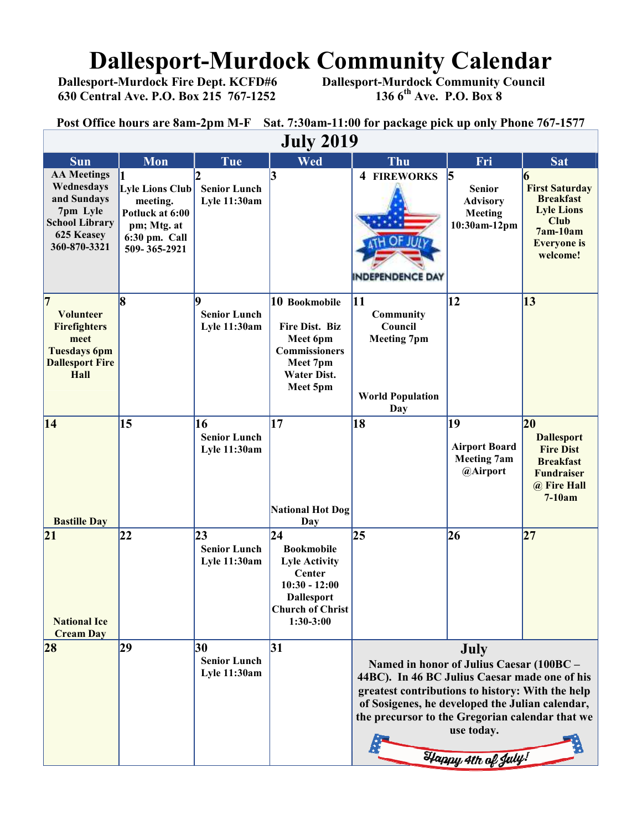# **Dallesport-Murdock Community Calendar**<br>Dallesport-Murdock Fire Dept. KCFD#6 Dallesport-Murdock Community Council

 **630 Central Ave. P.O. Box 215 767-1252 136 6th Ave. P.O. Box 8** 

 **Dallesport-Murdock Community Council 136 6<sup>th</sup> Ave. P.O. Box 8** 

**Post Office hours are 8am-2pm M-F Sat. 7:30am-11:00 for package pick up only Phone 767-1577**

| <b>July 2019</b>                                                                                                                  |                                                                                                |                                                  |                                                                                                                                                          |                                                                                                                                                                                                                                                                                                 |                                                                  |                                                                                                                                  |  |  |
|-----------------------------------------------------------------------------------------------------------------------------------|------------------------------------------------------------------------------------------------|--------------------------------------------------|----------------------------------------------------------------------------------------------------------------------------------------------------------|-------------------------------------------------------------------------------------------------------------------------------------------------------------------------------------------------------------------------------------------------------------------------------------------------|------------------------------------------------------------------|----------------------------------------------------------------------------------------------------------------------------------|--|--|
| <b>Sun</b>                                                                                                                        | Mon                                                                                            | Tue                                              | Wed                                                                                                                                                      | Thu                                                                                                                                                                                                                                                                                             | Fri                                                              | <b>Sat</b>                                                                                                                       |  |  |
| <b>AA Meetings</b><br>Wednesdays<br>and Sundays<br>7pm Lyle<br><b>School Library</b><br>625 Keasey<br>360-870-3321                | Lyle Lions Club<br>meeting.<br>Potluck at 6:00<br>pm; Mtg. at<br>6:30 pm. Call<br>509-365-2921 | <b>Senior Lunch</b><br><b>Lyle 11:30am</b>       | 13                                                                                                                                                       | <b>4 FIREWORKS</b><br>INDEPENDENCE DAY                                                                                                                                                                                                                                                          | 5<br><b>Senior</b><br><b>Advisory</b><br>Meeting<br>10:30am-12pm | 6<br><b>First Saturday</b><br><b>Breakfast</b><br><b>Lyle Lions</b><br><b>Club</b><br>7am-10am<br><b>Everyone</b> is<br>welcome! |  |  |
| $\overline{7}$<br><b>Volunteer</b><br><b>Firefighters</b><br>meet<br><b>Tuesdays 6pm</b><br><b>Dallesport Fire</b><br><b>Hall</b> | 8                                                                                              | q<br><b>Senior Lunch</b><br><b>Lyle 11:30am</b>  | 10 Bookmobile<br>Fire Dist. Biz<br>Meet 6pm<br><b>Commissioners</b><br>Meet 7pm<br><b>Water Dist.</b><br>Meet 5pm                                        | 11<br>Community<br>Council<br><b>Meeting 7pm</b><br><b>World Population</b><br>Day                                                                                                                                                                                                              | 12                                                               | 13                                                                                                                               |  |  |
| 14<br><b>Bastille Day</b>                                                                                                         | 15                                                                                             | 16<br><b>Senior Lunch</b><br><b>Lyle 11:30am</b> | 17<br><b>National Hot Dog</b><br>Day                                                                                                                     | 18                                                                                                                                                                                                                                                                                              | 19<br><b>Airport Board</b><br><b>Meeting 7am</b><br>@Airport     | 20<br><b>Dallesport</b><br><b>Fire Dist</b><br><b>Breakfast</b><br><b>Fundraiser</b><br>@ Fire Hall<br>$7-10am$                  |  |  |
| 21<br><b>National Ice</b><br><b>Cream Day</b>                                                                                     | $ 22\rangle$                                                                                   | 23<br><b>Senior Lunch</b><br><b>Lyle 11:30am</b> | $\overline{24}$<br><b>Bookmobile</b><br><b>Lyle Activity</b><br>Center<br>$10:30 - 12:00$<br><b>Dallesport</b><br><b>Church of Christ</b><br>$1:30-3:00$ | 25                                                                                                                                                                                                                                                                                              | 26                                                               | 27                                                                                                                               |  |  |
| 28                                                                                                                                | 29                                                                                             | 30<br><b>Senior Lunch</b><br>Lyle 11:30am        | 31                                                                                                                                                       | July<br>Named in honor of Julius Caesar (100BC -<br>44BC). In 46 BC Julius Caesar made one of his<br>greatest contributions to history: With the help<br>of Sosigenes, he developed the Julian calendar,<br>the precursor to the Gregorian calendar that we<br>use today.<br>Happy 4th of July! |                                                                  |                                                                                                                                  |  |  |